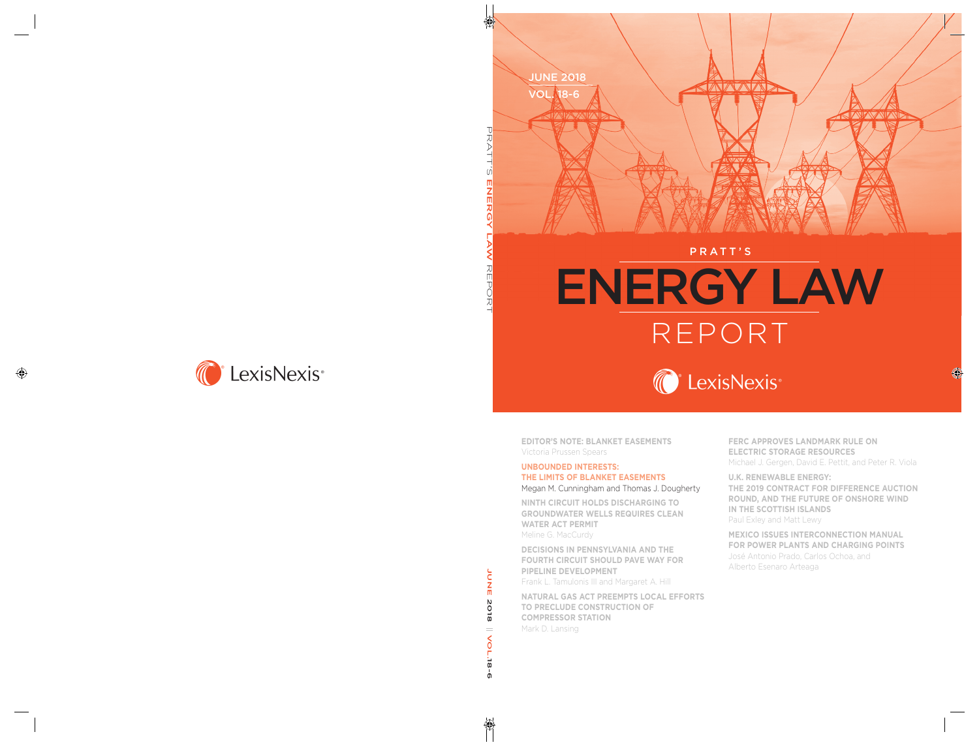

#### PRATT'S

# ENERGY LAW REPORT



**EDITOR'S NOTE: BLANKET EASEMENTS** Victoria Prussen Spears

#### **UNBOUNDED INTERESTS: THE LIMITS OF BLANKET EASEMENTS** Megan M. Cunningham and Thomas J. Dougherty

**NINTH CIRCUIT HOLDS DISCHARGING TO GROUNDWATER WELLS REQUIRES CLEAN WATER ACT PERMIT** Meline G. MacCurdy

**DECISIONS IN PENNSYLVANIA AND THE FOURTH CIRCUIT SHOULD PAVE WAY FOR PIPELINE DEVELOPMENT** Frank L. Tamulonis III and Margaret A. Hill

**NATURAL GAS ACT PREEMPTS LOCAL EFFORTS TO PRECLUDE CONSTRUCTION OF COMPRESSOR STATION** Mark D. Lansing

**FERC APPROVES LANDMARK RULE ON ELECTRIC STORAGE RESOURCES** Michael J. Gergen, David E. Pettit, and Peter R. Viola

**U.K. RENEWABLE ENERGY: THE 2019 CONTRACT FOR DIFFERENCE AUCTION ROUND, AND THE FUTURE OF ONSHORE WIND IN THE SCOTTISH ISLANDS** Paul Exley and Matt Lewy

**MEXICO ISSUES INTERCONNECTION MANUAL FOR POWER PLANTS AND CHARGING POINTS** José Antonio Prado, Carlos Ochoa, and Alberto Esenaro Arteaga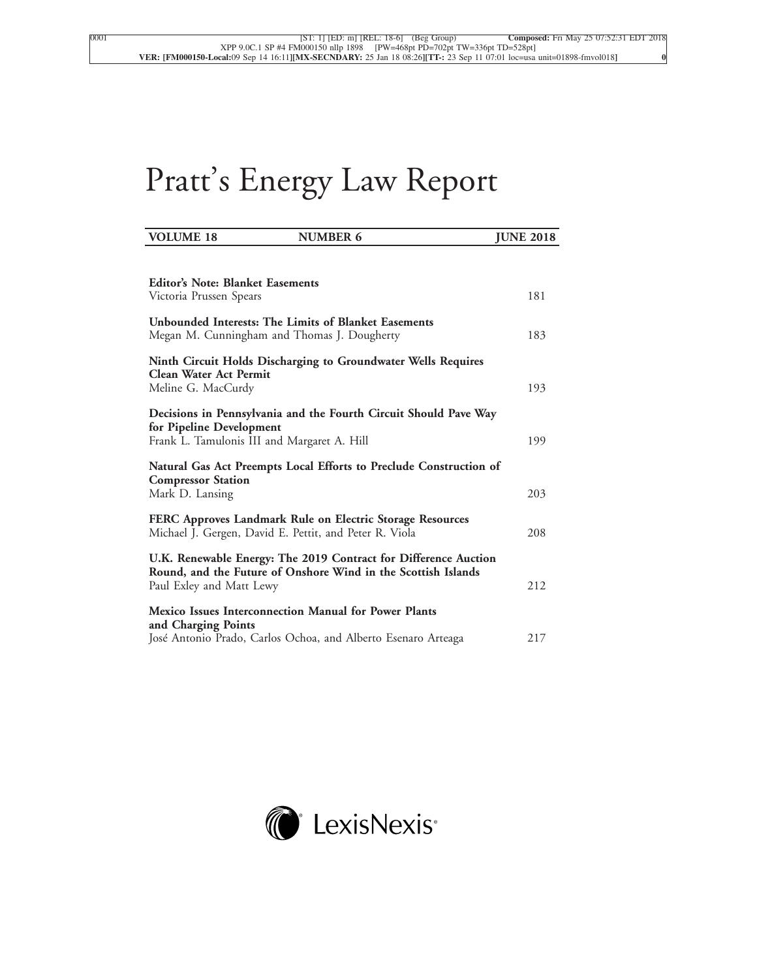# Pratt's Energy Law Report

| <b>VOLUME 18</b>                                                                                    | <b>NUMBER 6</b>                                                                                                                  | <b>JUNE 2018</b> |     |
|-----------------------------------------------------------------------------------------------------|----------------------------------------------------------------------------------------------------------------------------------|------------------|-----|
|                                                                                                     |                                                                                                                                  |                  |     |
| <b>Editor's Note: Blanket Easements</b><br>Victoria Prussen Spears                                  |                                                                                                                                  |                  | 181 |
| Unbounded Interests: The Limits of Blanket Easements<br>Megan M. Cunningham and Thomas J. Dougherty |                                                                                                                                  |                  | 183 |
| Clean Water Act Permit                                                                              | Ninth Circuit Holds Discharging to Groundwater Wells Requires                                                                    |                  |     |
| Meline G. MacCurdy                                                                                  |                                                                                                                                  |                  | 193 |
| for Pipeline Development<br>Frank L. Tamulonis III and Margaret A. Hill                             | Decisions in Pennsylvania and the Fourth Circuit Should Pave Way                                                                 |                  | 199 |
| <b>Compressor Station</b>                                                                           | Natural Gas Act Preempts Local Efforts to Preclude Construction of                                                               |                  |     |
| Mark D. Lansing                                                                                     |                                                                                                                                  |                  | 203 |
| Michael J. Gergen, David E. Pettit, and Peter R. Viola                                              | FERC Approves Landmark Rule on Electric Storage Resources                                                                        |                  | 208 |
| Paul Exley and Matt Lewy                                                                            | U.K. Renewable Energy: The 2019 Contract for Difference Auction<br>Round, and the Future of Onshore Wind in the Scottish Islands |                  | 212 |
| <b>Mexico Issues Interconnection Manual for Power Plants</b><br>and Charging Points                 |                                                                                                                                  |                  |     |
|                                                                                                     | José Antonio Prado, Carlos Ochoa, and Alberto Esenaro Arteaga                                                                    |                  | 217 |

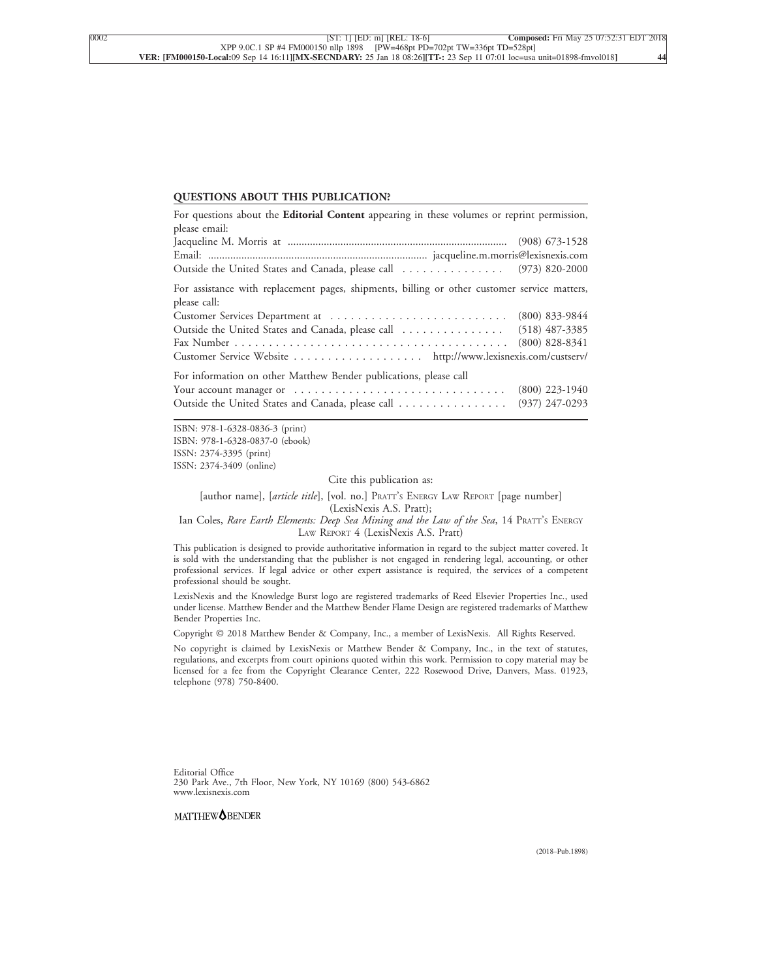#### **QUESTIONS ABOUT THIS PUBLICATION?**

| For questions about the Editorial Content appearing in these volumes or reprint permission,                  |                  |  |  |  |
|--------------------------------------------------------------------------------------------------------------|------------------|--|--|--|
| please email:                                                                                                |                  |  |  |  |
|                                                                                                              |                  |  |  |  |
|                                                                                                              |                  |  |  |  |
| Outside the United States and Canada, please call  (973) 820-2000                                            |                  |  |  |  |
| For assistance with replacement pages, shipments, billing or other customer service matters,<br>please call: |                  |  |  |  |
|                                                                                                              |                  |  |  |  |
| Outside the United States and Canada, please call  (518) 487-3385                                            |                  |  |  |  |
|                                                                                                              | $(800)$ 828-8341 |  |  |  |
| Customer Service Website http://www.lexisnexis.com/custserv/                                                 |                  |  |  |  |
| For information on other Matthew Bender publications, please call                                            |                  |  |  |  |
|                                                                                                              | $(800)$ 223-1940 |  |  |  |
| Outside the United States and Canada, please call                                                            | $(937)$ 247-0293 |  |  |  |

ISBN: 978-1-6328-0836-3 (print) ISBN: 978-1-6328-0837-0 (ebook) ISSN: 2374-3395 (print) ISSN: 2374-3409 (online)

Cite this publication as:

[author name], [*article title*], [vol. no.] PRATT'<sup>S</sup> ENERGY LAW REPORT [page number] (LexisNexis A.S. Pratt);

Ian Coles, *Rare Earth Elements: Deep Sea Mining and the Law of the Sea*, 14 PRATT'<sup>S</sup> ENERGY LAW REPORT 4 (LexisNexis A.S. Pratt)

This publication is designed to provide authoritative information in regard to the subject matter covered. It is sold with the understanding that the publisher is not engaged in rendering legal, accounting, or other professional services. If legal advice or other expert assistance is required, the services of a competent professional should be sought.

LexisNexis and the Knowledge Burst logo are registered trademarks of Reed Elsevier Properties Inc., used under license. Matthew Bender and the Matthew Bender Flame Design are registered trademarks of Matthew Bender Properties Inc.

Copyright © 2018 Matthew Bender & Company, Inc., a member of LexisNexis. All Rights Reserved.

No copyright is claimed by LexisNexis or Matthew Bender & Company, Inc., in the text of statutes, regulations, and excerpts from court opinions quoted within this work. Permission to copy material may be licensed for a fee from the Copyright Clearance Center, 222 Rosewood Drive, Danvers, Mass. 01923, telephone (978) 750-8400.

Editorial Office 230 Park Ave., 7th Floor, New York, NY 10169 (800) 543-6862 www.lexisnexis.com

MATTHEW<sup>O</sup>BENDER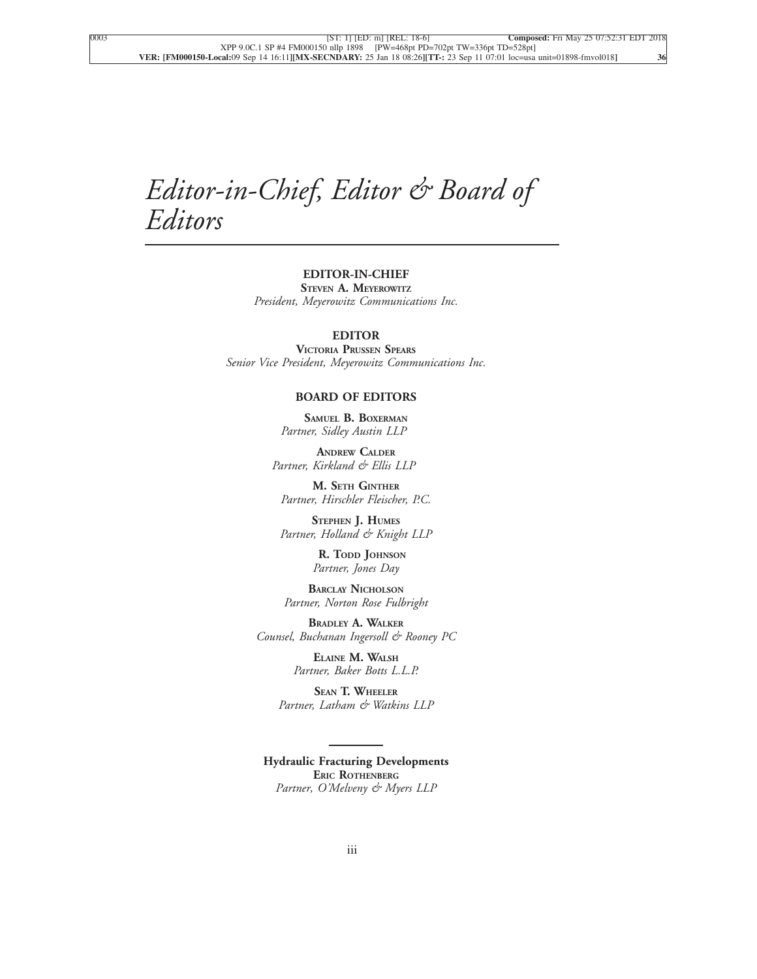## *Editor-in-Chief, Editor & Board of Editors*

#### **EDITOR-IN-CHIEF STEVEN A. MEYEROWITZ** *President, Meyerowitz Communications Inc.*

#### **EDITOR**

**VICTORIA PRUSSEN SPEARS** *Senior Vice President, Meyerowitz Communications Inc.*

#### **BOARD OF EDITORS**

**SAMUEL B. BOXERMAN** *Partner, Sidley Austin LLP*

**ANDREW CALDER** *Partner, Kirkland & Ellis LLP*

**M. SETH GINTHER** *Partner, Hirschler Fleischer, P.C.*

**STEPHEN J. HUMES** *Partner, Holland & Knight LLP*

> **R. TODD JOHNSON** *Partner, Jones Day*

**BARCLAY NICHOLSON** *Partner, Norton Rose Fulbright*

**BRADLEY A. WALKER** *Counsel, Buchanan Ingersoll & Rooney PC*

> **ELAINE M. WALSH** *Partner, Baker Botts L.L.P.*

**SEAN T. WHEELER** *Partner, Latham & Watkins LLP*

**Hydraulic Fracturing Developments ERIC ROTHENBERG** *Partner, O'Melveny & Myers LLP*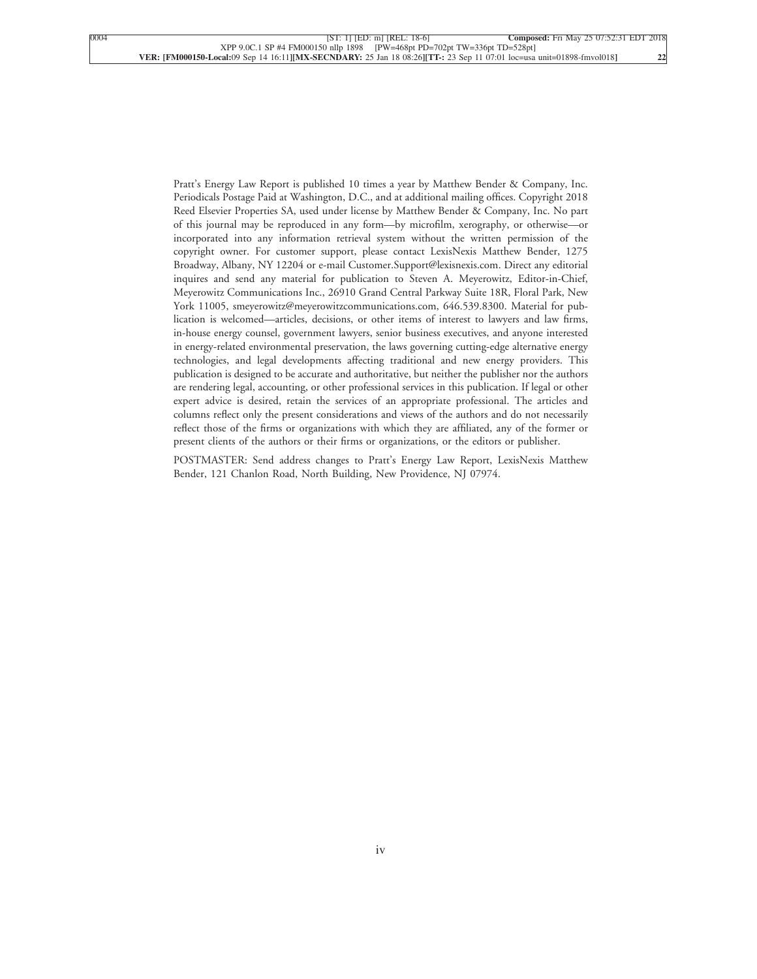Pratt's Energy Law Report is published 10 times a year by Matthew Bender & Company, Inc. Periodicals Postage Paid at Washington, D.C., and at additional mailing offices. Copyright 2018 Reed Elsevier Properties SA, used under license by Matthew Bender & Company, Inc. No part of this journal may be reproduced in any form—by microfilm, xerography, or otherwise—or incorporated into any information retrieval system without the written permission of the copyright owner. For customer support, please contact LexisNexis Matthew Bender, 1275 Broadway, Albany, NY 12204 or e-mail Customer.Support@lexisnexis.com. Direct any editorial inquires and send any material for publication to Steven A. Meyerowitz, Editor-in-Chief, Meyerowitz Communications Inc., 26910 Grand Central Parkway Suite 18R, Floral Park, New York 11005, smeyerowitz@meyerowitzcommunications.com, 646.539.8300. Material for publication is welcomed—articles, decisions, or other items of interest to lawyers and law firms, in-house energy counsel, government lawyers, senior business executives, and anyone interested in energy-related environmental preservation, the laws governing cutting-edge alternative energy technologies, and legal developments affecting traditional and new energy providers. This publication is designed to be accurate and authoritative, but neither the publisher nor the authors are rendering legal, accounting, or other professional services in this publication. If legal or other expert advice is desired, retain the services of an appropriate professional. The articles and columns reflect only the present considerations and views of the authors and do not necessarily reflect those of the firms or organizations with which they are affiliated, any of the former or present clients of the authors or their firms or organizations, or the editors or publisher.

POSTMASTER: Send address changes to Pratt's Energy Law Report, LexisNexis Matthew Bender, 121 Chanlon Road, North Building, New Providence, NJ 07974.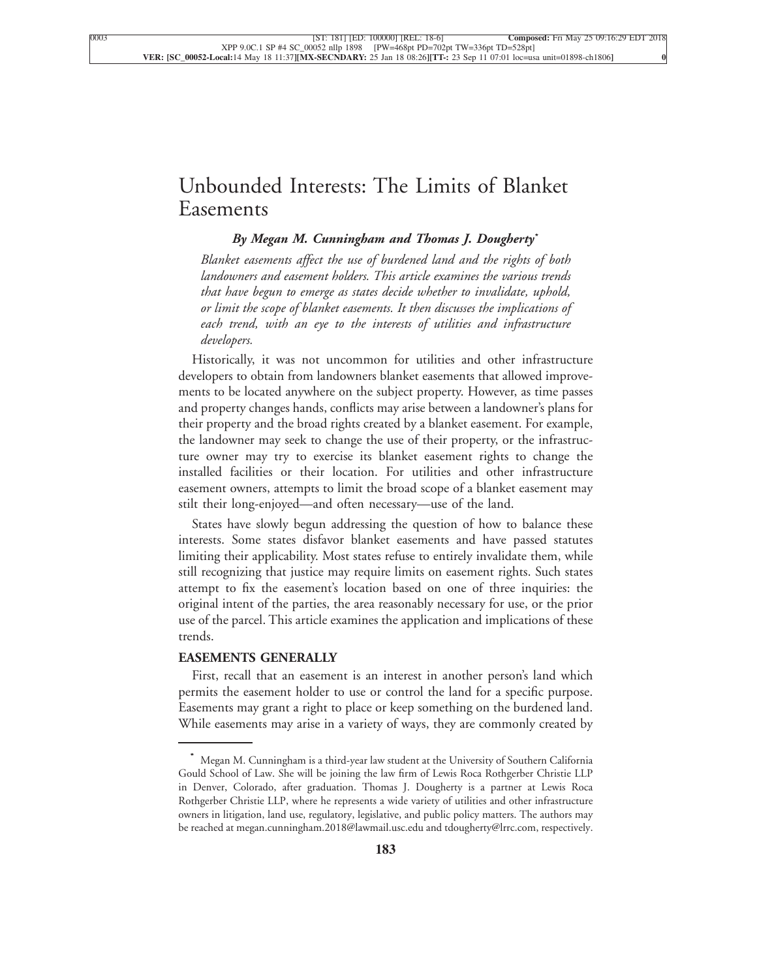### [Unbounded Interests: The Limits of Blanket](xpath-> core:title,  tr:secmain/core:title,  desig_title,  style_01) [Easements](xpath-> core:title,  tr:secmain/core:title,  desig_title,  style_01)

#### *[By Megan M. Cunningham and Thomas J. Dougherty](xpath-> core:byline,  core:byline,  byline,  style_01)***\***

*[Blanket easements affect the use of burdened land and the rights of both](xpath-> core:blockquote-para,  Default,  blockquote,  style_02) [landowners and easement holders. This article examines the various trends](xpath-> core:blockquote-para,  Default,  blockquote,  style_02) [that have begun to emerge as states decide whether to invalidate, uphold,](xpath-> core:blockquote-para,  Default,  blockquote,  style_02) [or limit the scope of blanket easements. It then discusses the implications of](xpath-> core:blockquote-para,  Default,  blockquote,  style_02) [each trend, with an eye to the interests of utilities and infrastructure](xpath-> core:blockquote-para,  Default,  blockquote,  style_02) [developers.](xpath-> core:blockquote-para,  Default,  blockquote,  style_02)*

[Historically, it was not uncommon for utilities and other infrastructure](xpath-> core:para,  Default,  para-list,  style_01) [developers to obtain from landowners blanket easements that allowed improve](xpath-> core:para,  Default,  para-list,  style_01)[ments to be located anywhere on the subject property. However, as time passes](xpath-> core:para,  Default,  para-list,  style_01) [and property changes hands, conflicts may arise between a landowner's plans for](xpath-> core:para,  Default,  para-list,  style_01) [their property and the broad rights created by a blanket easement. For example,](xpath-> core:para,  Default,  para-list,  style_01) [the landowner may seek to change the use of their property, or the infrastruc](xpath-> core:para,  Default,  para-list,  style_01)[ture owner may try to exercise its blanket easement rights to change the](xpath-> core:para,  Default,  para-list,  style_01) [installed facilities or their location. For utilities and other infrastructure](xpath-> core:para,  Default,  para-list,  style_01) [easement owners, attempts to limit the broad scope of a blanket easement may](xpath-> core:para,  Default,  para-list,  style_01) [stilt their long-enjoyed—and often necessary—use of the land.](xpath-> core:para,  Default,  para-list,  style_01)

[States have slowly begun addressing the question of how to balance these](xpath-> core:para,  Default,  para-list,  style_01) [interests. Some states disfavor blanket easements and have passed statutes](xpath-> core:para,  Default,  para-list,  style_01) [limiting their applicability. Most states refuse to entirely invalidate them, while](xpath-> core:para,  Default,  para-list,  style_01) [still recognizing that justice may require limits on easement rights. Such states](xpath-> core:para,  Default,  para-list,  style_01) [attempt to fix the easement's location based on one of three inquiries: the](xpath-> core:para,  Default,  para-list,  style_01) [original intent of the parties, the area reasonably necessary for use, or the prior](xpath-> core:para,  Default,  para-list,  style_01) [use of the parcel. This article examines the application and implications of these](xpath-> core:para,  Default,  para-list,  style_01) [trends.](xpath-> core:para,  Default,  para-list,  style_01)

#### **[EASEMENTS GENERALLY](xpath-> core:generic-hd,  Default,  core_generic_hd,  style_01)**

[First, recall that an easement is an interest in another person's land which](xpath-> core:para,  Default,  para-list,  style_01) [permits the easement holder to use or control the land for a specific purpose.](xpath-> core:para,  Default,  para-list,  style_01) [Easements may grant a right to place or keep something on the burdened land.](xpath-> core:para,  Default,  para-list,  style_01) [While easements may arise in a variety of ways, they are commonly created by](xpath-> core:para,  Default,  para-list,  style_01)

**<sup>\*</sup>** [Megan M. Cunningham is a third-year law student at the University of Southern California](xpath-> pnfo:bio-para,  fn:bio-footnote/pnfo:bio-para,  byline,  ) [Gould School of Law. She will be joining the law firm of Lewis Roca Rothgerber Christie LLP](xpath-> pnfo:bio-para,  fn:bio-footnote/pnfo:bio-para,  byline,  ) [in Denver, Colorado, after graduation. Thomas J. Dougherty is a partner at Lewis Roca](xpath-> pnfo:bio-para,  fn:bio-footnote/pnfo:bio-para,  byline,  ) [Rothgerber Christie LLP, where he represents a wide variety of utilities and other infrastructure](xpath-> pnfo:bio-para,  fn:bio-footnote/pnfo:bio-para,  byline,  ) [owners in litigation, land use, regulatory, legislative, and public policy matters. The authors may](xpath-> pnfo:bio-para,  fn:bio-footnote/pnfo:bio-para,  byline,  ) [be reached at megan.cunningham.2018@lawmail.usc.edu and tdougherty@lrrc.com, respectively.](xpath-> pnfo:bio-para,  fn:bio-footnote/pnfo:bio-para,  byline,  )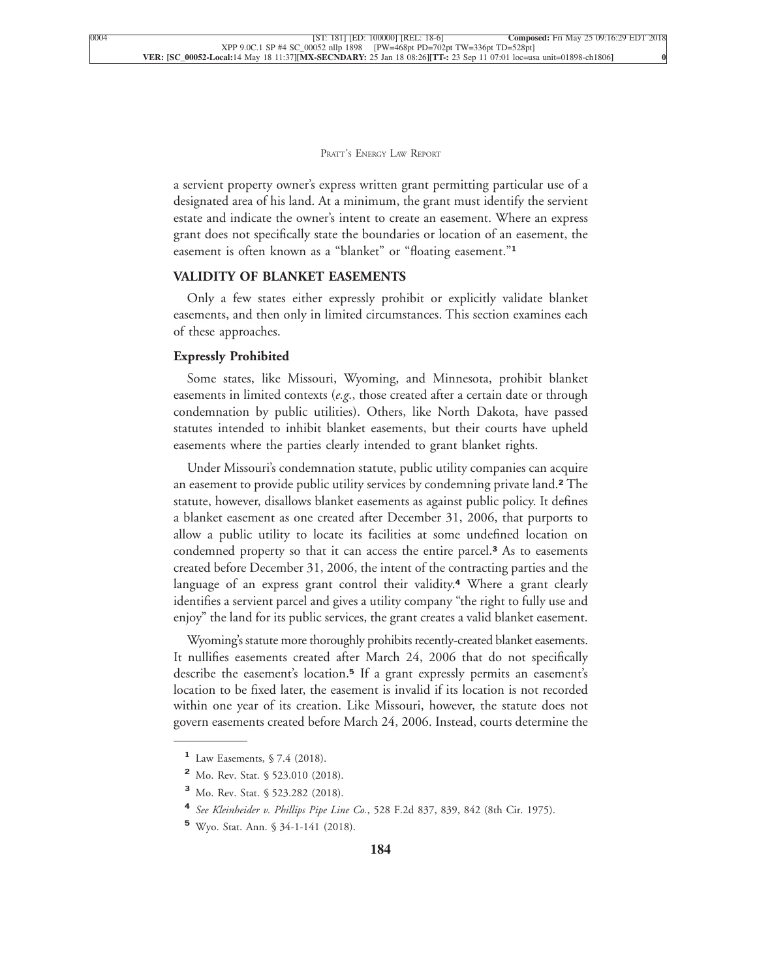a servient property owner's express written grant permitting particular use of a designated area of his land. At a minimum, the grant must identify the servient estate and indicate the owner's intent to create an easement. Where an express grant does not specifically state the boundaries or location of an easement, the [easement is often known as a "blanket" or "floating easement."](xpath-> core:para,  Default,  para-list,  style_01)**<sup>1</sup>**

#### **[VALIDITY OF BLANKET EASEMENTS](xpath-> core:generic-hd,  Default,  core_generic_hd,  style_01)**

[Only a few states either expressly prohibit or explicitly validate blanket](xpath-> core:para,  Default,  para-list,  style_01) [easements, and then only in limited circumstances. This section examines each](xpath-> core:para,  Default,  para-list,  style_01) [of these approaches.](xpath-> core:para,  Default,  para-list,  style_01)

#### **[Expressly Prohibited](xpath-> core:generic-hd,  Default,  core_generic_hd,  style_01)**

[Some states, like Missouri, Wyoming, and Minnesota, prohibit blanket](xpath-> core:para,  Default,  para-list,  style_01) easements in limited contexts (*e.g*[., those created after a certain date or through](xpath-> core:para,  Default,  para-list,  style_01) [condemnation by public utilities\). Others, like North Dakota, have passed](xpath-> core:para,  Default,  para-list,  style_01) [statutes intended to inhibit blanket easements, but their courts have upheld](xpath-> core:para,  Default,  para-list,  style_01) [easements where the parties clearly intended to grant blanket rights.](xpath-> core:para,  Default,  para-list,  style_01)

[Under Missouri's condemnation statute, public utility companies can acquire](xpath-> core:para,  Default,  para-list,  style_01) [an easement to provide public utility services by condemning private land.](xpath-> core:para,  Default,  para-list,  style_01)**<sup>2</sup>** The [statute, however, disallows blanket easements as against public policy. It defines](xpath-> core:para,  Default,  para-list,  style_01) [a blanket easement as one created after December 31, 2006, that purports to](xpath-> core:para,  Default,  para-list,  style_01) [allow a public utility to locate its facilities at some undefined location on](xpath-> core:para,  Default,  para-list,  style_01) [condemned property so that it can access the entire parcel.](xpath-> core:para,  Default,  para-list,  style_01)**<sup>3</sup>** As to easements [created before December 31, 2006, the intent of the contracting parties and the](xpath-> core:para,  Default,  para-list,  style_01) [language of an express grant control their validity.](xpath-> core:para,  Default,  para-list,  style_01)**<sup>4</sup>** Where a grant clearly [identifies a servient parcel and gives a utility company "the right to fully use and](xpath-> core:para,  Default,  para-list,  style_01) [enjoy" the land for its public services, the grant creates a valid blanket easement.](xpath-> core:para,  Default,  para-list,  style_01)

[Wyoming's statute more thoroughly prohibits recently-created blanket easements.](xpath-> core:para,  Default,  para-list,  style_01) [It nullifies easements created after March 24, 2006 that do not specifically](xpath-> core:para,  Default,  para-list,  style_01) describe the easement's location.**<sup>5</sup>** [If a grant expressly permits an easement's](xpath-> core:para,  Default,  para-list,  style_01) [location to be fixed later, the easement is invalid if its location is not recorded](xpath-> core:para,  Default,  para-list,  style_01) [within one year of its creation. Like Missouri, however, the statute does not](xpath-> core:para,  Default,  para-list,  style_01) [govern easements created before March 24, 2006. Instead, courts determine the](xpath-> core:para,  Default,  para-list,  style_01)

**<sup>1</sup>** [Law Easements, § 7.4 \(2018\).](xpath-> fn:para,  fn:footnote/fn:para,  footnote,  style_03)

**<sup>2</sup>** [Mo. Rev. Stat. § 523.010 \(2018\).](xpath-> fn:para,  fn:footnote/fn:para,  footnote,  style_03)

**<sup>3</sup>** [Mo. Rev. Stat. § 523.282 \(2018\).](xpath-> fn:para,  fn:footnote/fn:para,  footnote,  style_03)

**<sup>4</sup>** *See Kleinheider v. Phillips Pipe Line Co.*[, 528 F.2d 837, 839, 842 \(8th Cir. 1975\).](xpath-> fn:para,  fn:footnote/fn:para,  footnote,  style_03)

**<sup>5</sup>** [Wyo. Stat. Ann. § 34-1-141 \(2018\).](xpath-> fn:para,  fn:footnote/fn:para,  footnote,  style_03)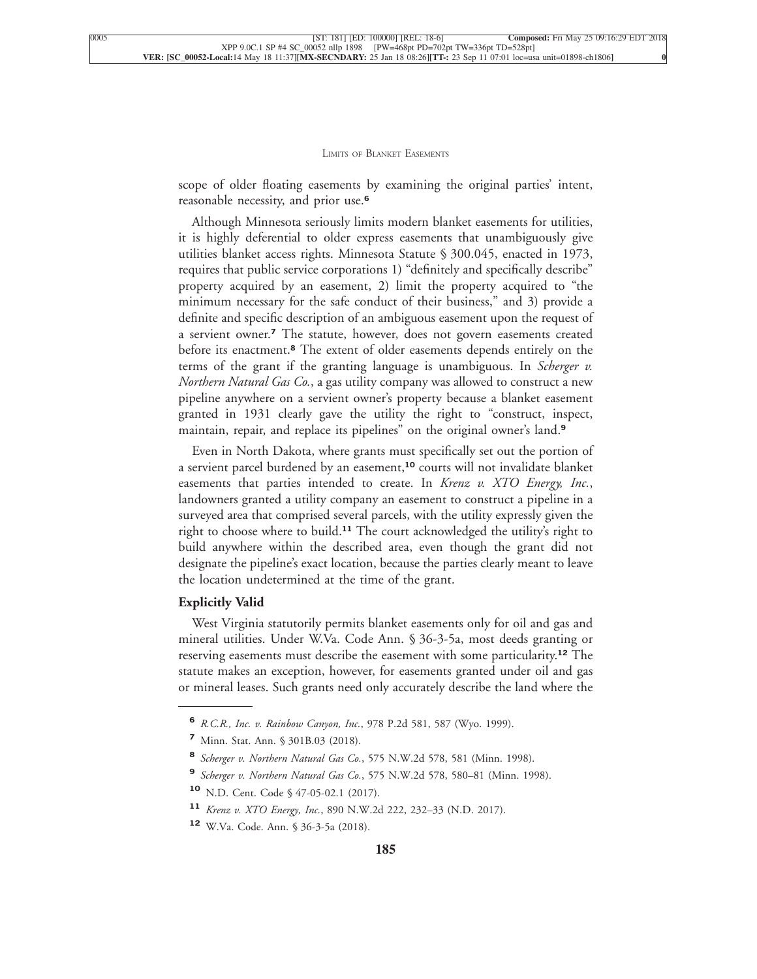scope of older floating easements by examining the original parties' intent, [reasonable necessity, and prior use.](xpath-> core:para,  Default,  para-list,  style_01)**<sup>6</sup>**

[Although Minnesota seriously limits modern blanket easements for utilities,](xpath-> core:para,  Default,  para-list,  style_01) [it is highly deferential to older express easements that unambiguously give](xpath-> core:para,  Default,  para-list,  style_01) [utilities blanket access rights. Minnesota Statute § 300.045, enacted in 1973,](xpath-> core:para,  Default,  para-list,  style_01) [requires that public service corporations 1\) "definitely and specifically describe"](xpath-> core:para,  Default,  para-list,  style_01) [property acquired by an easement, 2\) limit the property acquired to "the](xpath-> core:para,  Default,  para-list,  style_01) [minimum necessary for the safe conduct of their business," and 3\) provide a](xpath-> core:para,  Default,  para-list,  style_01) [definite and specific description of an ambiguous easement upon the request of](xpath-> core:para,  Default,  para-list,  style_01) a servient owner.**<sup>7</sup>** [The statute, however, does not govern easements created](xpath-> core:para,  Default,  para-list,  style_01) before its enactment.**<sup>8</sup>** [The extent of older easements depends entirely on the](xpath-> core:para,  Default,  para-list,  style_01) [terms of the grant if the granting language is unambiguous. In](xpath-> core:para,  Default,  para-list,  style_01) *Scherger v. Northern Natural Gas Co.*[, a gas utility company was allowed to construct a new](xpath-> core:para,  Default,  para-list,  style_01) [pipeline anywhere on a servient owner's property because a blanket easement](xpath-> core:para,  Default,  para-list,  style_01) [granted in 1931 clearly gave the utility the right to "construct, inspect,](xpath-> core:para,  Default,  para-list,  style_01) [maintain, repair, and replace its pipelines" on the original owner's land.](xpath-> core:para,  Default,  para-list,  style_01)**<sup>9</sup>**

[Even in North Dakota, where grants must specifically set out the portion of](xpath-> core:para,  Default,  para-list,  style_01) [a servient parcel burdened by an easement,](xpath-> core:para,  Default,  para-list,  style_01)**<sup>10</sup>** courts will not invalidate blanket [easements that parties intended to create. In](xpath-> core:para,  Default,  para-list,  style_01) *Krenz v. XTO Energy, Inc.*, [landowners granted a utility company an easement to construct a pipeline in a](xpath-> core:para,  Default,  para-list,  style_01) [surveyed area that comprised several parcels, with the utility expressly given the](xpath-> core:para,  Default,  para-list,  style_01) right to choose where to build.**<sup>11</sup>** [The court acknowledged the utility's right to](xpath-> core:para,  Default,  para-list,  style_01) [build anywhere within the described area, even though the grant did not](xpath-> core:para,  Default,  para-list,  style_01) [designate the pipeline's exact location, because the parties clearly meant to leave](xpath-> core:para,  Default,  para-list,  style_01) [the location undetermined at the time of the grant.](xpath-> core:para,  Default,  para-list,  style_01)

#### **[Explicitly Valid](xpath-> core:generic-hd,  Default,  core_generic_hd,  style_01)**

[West Virginia statutorily permits blanket easements only for oil and gas and](xpath-> core:para,  Default,  para-list,  style_01) [mineral utilities. Under W.Va. Code Ann. § 36-3-5a, most deeds granting or](xpath-> core:para,  Default,  para-list,  style_01) [reserving easements must describe the easement with some particularity.](xpath-> core:para,  Default,  para-list,  style_01)**<sup>12</sup>** The [statute makes an exception, however, for easements granted under oil and gas](xpath-> core:para,  Default,  para-list,  style_01) [or mineral leases. Such grants need only accurately describe the land where the](xpath-> core:para,  Default,  para-list,  style_01)

**<sup>6</sup>** *[R.C.R., Inc. v. Rainbow Canyon, Inc.](xpath-> fn:para,  fn:footnote/fn:para,  footnote,  style_03)*, 978 P.2d 581, 587 (Wyo. 1999).

**<sup>7</sup>** [Minn. Stat. Ann. § 301B.03 \(2018\).](xpath-> fn:para,  fn:footnote/fn:para,  footnote,  style_03)

**<sup>8</sup>** *Scherger v. Northern Natural Gas Co.*[, 575 N.W.2d 578, 581 \(Minn. 1998\).](xpath-> fn:para,  fn:footnote/fn:para,  footnote,  style_03)

**<sup>9</sup>** *Scherger v. Northern Natural Gas Co.*[, 575 N.W.2d 578, 580–81 \(Minn. 1998\).](xpath-> fn:para,  fn:footnote/fn:para,  footnote,  style_03)

**<sup>10</sup>** [N.D. Cent. Code § 47-05-02.1 \(2017\).](xpath-> fn:para,  fn:footnote/fn:para,  footnote,  style_03)

**<sup>11</sup>** *Krenz v. XTO Energy, Inc.*[, 890 N.W.2d 222, 232–33 \(N.D. 2017\).](xpath-> fn:para,  fn:footnote/fn:para,  footnote,  style_03)

**<sup>12</sup>** [W.Va. Code. Ann. § 36-3-5a \(2018\).](xpath-> fn:para,  fn:footnote/fn:para,  footnote,  style_03)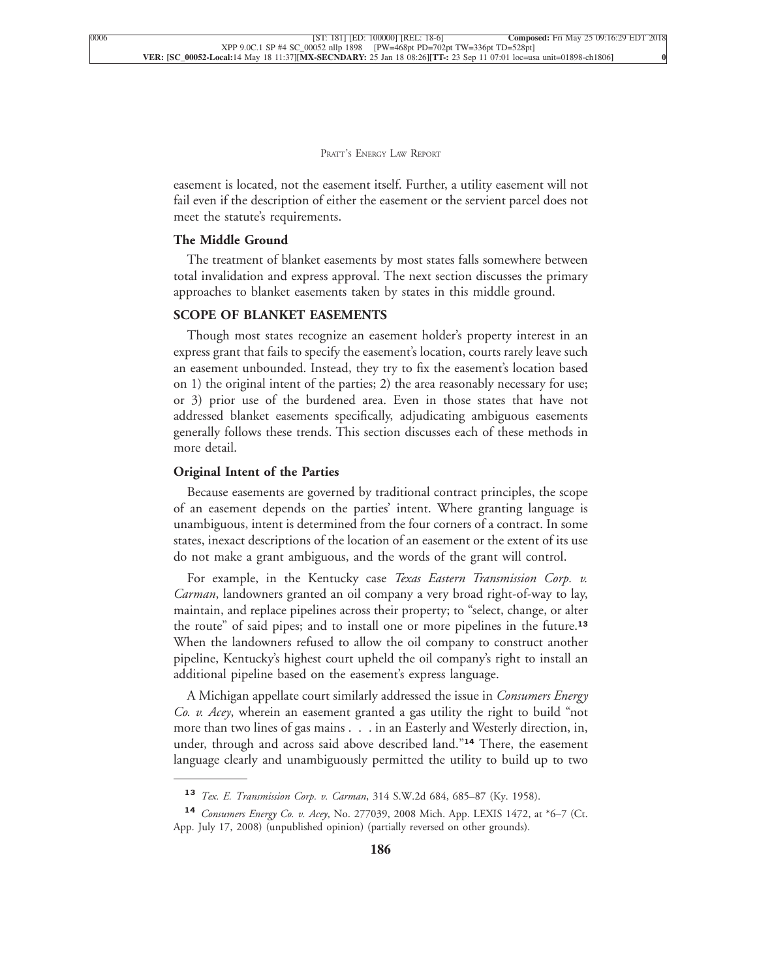easement is located, not the easement itself. Further, a utility easement will not fail even if the description of either the easement or the servient parcel does not [meet the statute's requirements.](xpath-> core:para,  Default,  para-list,  style_01)

#### **[The Middle Ground](xpath-> core:generic-hd,  Default,  core_generic_hd,  style_01)**

[The treatment of blanket easements by most states falls somewhere between](xpath-> core:para,  Default,  para-list,  style_01) [total invalidation and express approval. The next section discusses the primary](xpath-> core:para,  Default,  para-list,  style_01) [approaches to blanket easements taken by states in this middle ground.](xpath-> core:para,  Default,  para-list,  style_01)

#### **[SCOPE OF BLANKET EASEMENTS](xpath-> core:generic-hd,  Default,  core_generic_hd,  style_01)**

[Though most states recognize an easement holder's property interest in an](xpath-> core:para,  Default,  para-list,  style_01) [express grant that fails to specify the easement's location, courts rarely leave such](xpath-> core:para,  Default,  para-list,  style_01) [an easement unbounded. Instead, they try to fix the easement's location based](xpath-> core:para,  Default,  para-list,  style_01) [on 1\) the original intent of the parties; 2\) the area reasonably necessary for use;](xpath-> core:para,  Default,  para-list,  style_01) [or 3\) prior use of the burdened area. Even in those states that have not](xpath-> core:para,  Default,  para-list,  style_01) [addressed blanket easements specifically, adjudicating ambiguous easements](xpath-> core:para,  Default,  para-list,  style_01) [generally follows these trends. This section discusses each of these methods in](xpath-> core:para,  Default,  para-list,  style_01) [more detail.](xpath-> core:para,  Default,  para-list,  style_01)

#### **[Original Intent of the Parties](xpath-> core:generic-hd,  Default,  core_generic_hd,  style_01)**

[Because easements are governed by traditional contract principles, the scope](xpath-> core:para,  Default,  para-list,  style_01) [of an easement depends on the parties' intent. Where granting language is](xpath-> core:para,  Default,  para-list,  style_01) [unambiguous, intent is determined from the four corners of a contract. In some](xpath-> core:para,  Default,  para-list,  style_01) [states, inexact descriptions of the location of an easement or the extent of its use](xpath-> core:para,  Default,  para-list,  style_01) [do not make a grant ambiguous, and the words of the grant will control.](xpath-> core:para,  Default,  para-list,  style_01)

[For example, in the Kentucky case](xpath-> core:para,  Default,  para-list,  style_01) *Texas Eastern Transmission Corp. v. Carman*[, landowners granted an oil company a very broad right-of-way to lay,](xpath-> core:para,  Default,  para-list,  style_01) [maintain, and replace pipelines across their property; to "select, change, or alter](xpath-> core:para,  Default,  para-list,  style_01) [the route" of said pipes; and to install one or more pipelines in the future.](xpath-> core:para,  Default,  para-list,  style_01)**<sup>13</sup>** [When the landowners refused to allow the oil company to construct another](xpath-> core:para,  Default,  para-list,  style_01) [pipeline, Kentucky's highest court upheld the oil company's right to install an](xpath-> core:para,  Default,  para-list,  style_01) [additional pipeline based on the easement's express language.](xpath-> core:para,  Default,  para-list,  style_01)

[A Michigan appellate court similarly addressed the issue in](xpath-> core:para,  Default,  para-list,  style_01) *Consumers Energy Co. v. Acey*[, wherein an easement granted a gas utility the right to build "not](xpath-> core:para,  Default,  para-list,  style_01) [more than two lines of gas mains . . . in an Easterly and Westerly direction, in,](xpath-> core:para,  Default,  para-list,  style_01) [under, through and across said above described land."](xpath-> core:para,  Default,  para-list,  style_01)**<sup>14</sup>** There, the easement [language clearly and unambiguously permitted the utility to build up to two](xpath-> core:para,  Default,  para-list,  style_01)

**<sup>13</sup>** *Tex. E. Transmission Corp. v. Carman*[, 314 S.W.2d 684, 685–87 \(Ky. 1958\).](xpath-> fn:para,  fn:footnote/fn:para,  footnote,  style_03)

**<sup>14</sup>** *Consumers Energy Co. v. Acey*[, No. 277039, 2008 Mich. App. LEXIS 1472, at \\*6–7 \(Ct.](xpath-> fn:para,  fn:footnote/fn:para,  footnote,  style_03) [App. July 17, 2008\) \(unpublished opinion\) \(partially reversed on other grounds\).](xpath-> fn:para,  fn:footnote/fn:para,  footnote,  style_03)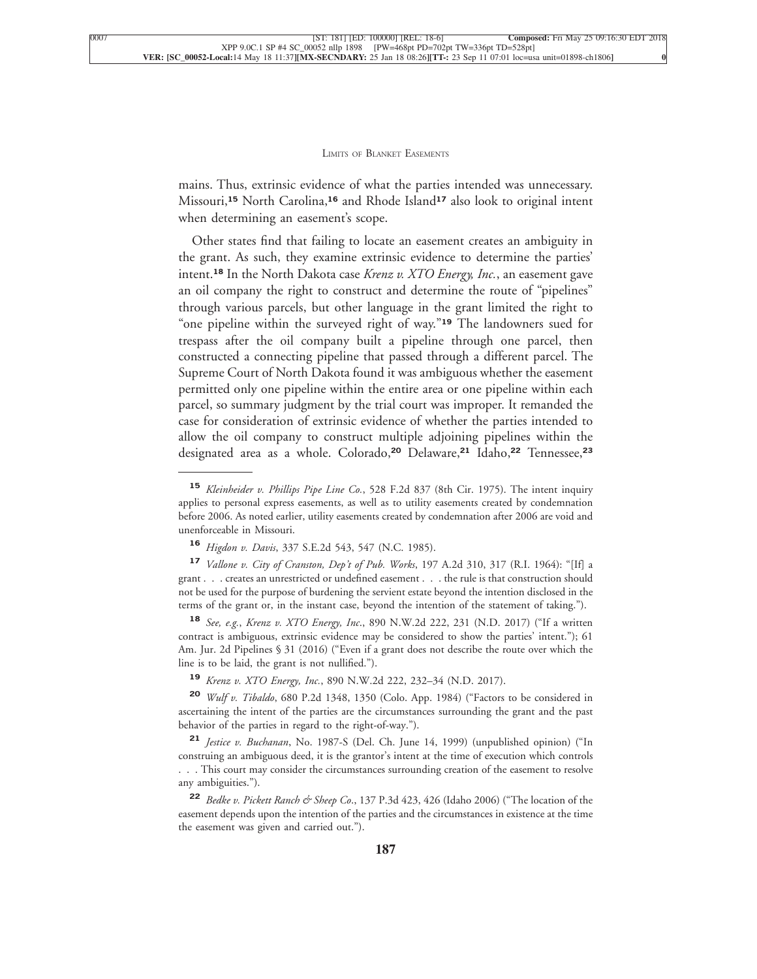mains. Thus, extrinsic evidence of what the parties intended was unnecessary. Missouri,**<sup>15</sup>** North Carolina,**<sup>16</sup>** and Rhode Island**<sup>17</sup>** also look to original intent [when determining an easement's scope.](xpath-> core:para,  Default,  para-list,  style_01)

[Other states find that failing to locate an easement creates an ambiguity in](xpath-> core:para,  Default,  para-list,  style_01) [the grant. As such, they examine extrinsic evidence to determine the parties'](xpath-> core:para,  Default,  para-list,  style_01) intent.**<sup>18</sup>** [In the North Dakota case](xpath-> core:para,  Default,  para-list,  style_01) *Krenz v. XTO Energy, Inc.*, an easement gave [an oil company the right to construct and determine the route of "pipelines"](xpath-> core:para,  Default,  para-list,  style_01) [through various parcels, but other language in the grant limited the right to](xpath-> core:para,  Default,  para-list,  style_01) ["one pipeline within the surveyed right of way."](xpath-> core:para,  Default,  para-list,  style_01)**<sup>19</sup>** The landowners sued for [trespass after the oil company built a pipeline through one parcel, then](xpath-> core:para,  Default,  para-list,  style_01) [constructed a connecting pipeline that passed through a different parcel. The](xpath-> core:para,  Default,  para-list,  style_01) [Supreme Court of North Dakota found it was ambiguous whether the easement](xpath-> core:para,  Default,  para-list,  style_01) [permitted only one pipeline within the entire area or one pipeline within each](xpath-> core:para,  Default,  para-list,  style_01) [parcel, so summary judgment by the trial court was improper. It remanded the](xpath-> core:para,  Default,  para-list,  style_01) [case for consideration of extrinsic evidence of whether the parties intended to](xpath-> core:para,  Default,  para-list,  style_01) [allow the oil company to construct multiple adjoining pipelines within the](xpath-> core:para,  Default,  para-list,  style_01) [designated area as a whole. Colorado,](xpath-> core:para,  Default,  para-list,  style_01)**<sup>20</sup>** Delaware,**<sup>21</sup>** Idaho,**<sup>22</sup>** Tennessee,**<sup>23</sup>**

**<sup>20</sup>** *Wulf v. Tibaldo*[, 680 P.2d 1348, 1350 \(Colo. App. 1984\) \("Factors to be considered in](xpath-> fn:para,  fn:footnote/fn:para,  footnote,  style_03) [ascertaining the intent of the parties are the circumstances surrounding the grant and the past](xpath-> fn:para,  fn:footnote/fn:para,  footnote,  style_03) [behavior of the parties in regard to the right-of-way."\).](xpath-> fn:para,  fn:footnote/fn:para,  footnote,  style_03)

**<sup>21</sup>** *Jestice v. Buchanan*[, No. 1987-S \(Del. Ch. June 14, 1999\) \(unpublished opinion\) \("In](xpath-> fn:para,  fn:footnote/fn:para,  footnote,  style_03) [construing an ambiguous deed, it is the grantor's intent at the time of execution which controls](xpath-> fn:para,  fn:footnote/fn:para,  footnote,  style_03) [. . . This court may consider the circumstances surrounding creation of the easement to resolve](xpath-> fn:para,  fn:footnote/fn:para,  footnote,  style_03) [any ambiguities."\).](xpath-> fn:para,  fn:footnote/fn:para,  footnote,  style_03)

**<sup>22</sup>** *Bedke v. Pickett Ranch & Sheep Co*[., 137 P.3d 423, 426 \(Idaho 2006\) \("The location of the](xpath-> fn:para,  fn:footnote/fn:para,  footnote,  style_03) [easement depends upon the intention of the parties and the circumstances in existence at the time](xpath-> fn:para,  fn:footnote/fn:para,  footnote,  style_03) [the easement was given and carried out."\).](xpath-> fn:para,  fn:footnote/fn:para,  footnote,  style_03)

**<sup>15</sup>** *Kleinheider v. Phillips Pipe Line Co.*[, 528 F.2d 837 \(8th Cir. 1975\). The intent inquiry](xpath-> fn:para,  fn:footnote/fn:para,  footnote,  style_03) [applies to personal express easements, as well as to utility easements created by condemnation](xpath-> fn:para,  fn:footnote/fn:para,  footnote,  style_03) [before 2006. As noted earlier, utility easements created by condemnation after 2006 are void and](xpath-> fn:para,  fn:footnote/fn:para,  footnote,  style_03) [unenforceable in Missouri.](xpath-> fn:para,  fn:footnote/fn:para,  footnote,  style_03)

**<sup>16</sup>** *Higdon v. Davis*[, 337 S.E.2d 543, 547 \(N.C. 1985\).](xpath-> fn:para,  fn:footnote/fn:para,  footnote,  style_03)

**<sup>17</sup>** *[Vallone v. City of Cranston, Dep't of Pub. Works](xpath-> fn:para,  fn:footnote/fn:para,  footnote,  style_03)*, 197 A.2d 310, 317 (R.I. 1964): "[If] a [grant . . . creates an unrestricted or undefined easement . . . the rule is that construction should](xpath-> fn:para,  fn:footnote/fn:para,  footnote,  style_03) [not be used for the purpose of burdening the servient estate beyond the intention disclosed in the](xpath-> fn:para,  fn:footnote/fn:para,  footnote,  style_03) [terms of the grant or, in the instant case, beyond the intention of the statement of taking."\).](xpath-> fn:para,  fn:footnote/fn:para,  footnote,  style_03)

**<sup>18</sup>** *See, e.g.*, *Krenz v. XTO Energy, Inc*[., 890 N.W.2d 222, 231 \(N.D. 2017\) \("If a written](xpath-> fn:para,  fn:footnote/fn:para,  footnote,  style_03) [contract is ambiguous, extrinsic evidence may be considered to show the parties' intent."\); 61](xpath-> fn:para,  fn:footnote/fn:para,  footnote,  style_03) [Am. Jur. 2d Pipelines § 31 \(2016\) \("Even if a grant does not describe the route over which the](xpath-> fn:para,  fn:footnote/fn:para,  footnote,  style_03) [line is to be laid, the grant is not nullified."\).](xpath-> fn:para,  fn:footnote/fn:para,  footnote,  style_03)

**<sup>19</sup>** *Krenz v. XTO Energy, Inc.*[, 890 N.W.2d 222, 232–34 \(N.D. 2017\).](xpath-> fn:para,  fn:footnote/fn:para,  footnote,  style_03)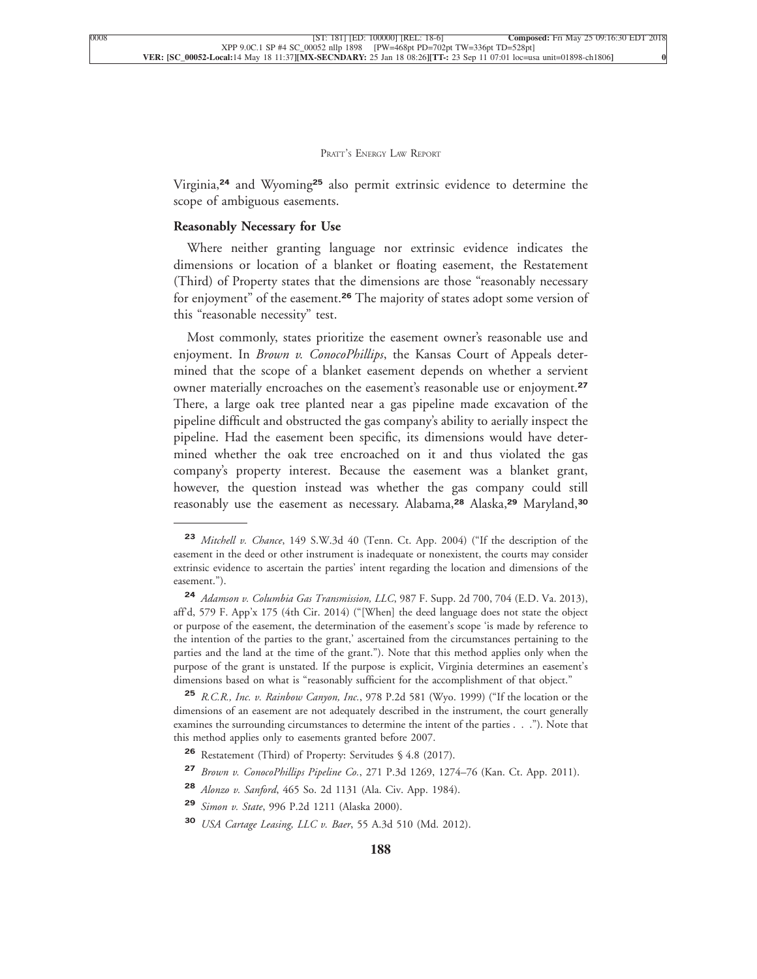Virginia,**<sup>24</sup>** and Wyoming**<sup>25</sup>** also permit extrinsic evidence to determine the [scope of ambiguous easements.](xpath-> core:para,  Default,  para-list,  style_01)

#### **[Reasonably Necessary for Use](xpath-> core:generic-hd,  Default,  core_generic_hd,  style_01)**

[Where neither granting language nor extrinsic evidence indicates the](xpath-> core:para,  Default,  para-list,  style_01) [dimensions or location of a blanket or floating easement, the Restatement](xpath-> core:para,  Default,  para-list,  style_01) [\(Third\) of Property states that the dimensions are those "reasonably necessary](xpath-> core:para,  Default,  para-list,  style_01) for enjoyment" of the easement.**<sup>26</sup>** [The majority of states adopt some version of](xpath-> core:para,  Default,  para-list,  style_01) [this "reasonable necessity" test.](xpath-> core:para,  Default,  para-list,  style_01)

[Most commonly, states prioritize the easement owner's reasonable use and](xpath-> core:para,  Default,  para-list,  style_01) enjoyment. In *Brown v. ConocoPhillips*[, the Kansas Court of Appeals deter](xpath-> core:para,  Default,  para-list,  style_01)[mined that the scope of a blanket easement depends on whether a servient](xpath-> core:para,  Default,  para-list,  style_01) [owner materially encroaches on the easement's reasonable use or enjoyment.](xpath-> core:para,  Default,  para-list,  style_01)**<sup>27</sup>** [There, a large oak tree planted near a gas pipeline made excavation of the](xpath-> core:para,  Default,  para-list,  style_01) [pipeline difficult and obstructed the gas company's ability to aerially inspect the](xpath-> core:para,  Default,  para-list,  style_01) [pipeline. Had the easement been specific, its dimensions would have deter](xpath-> core:para,  Default,  para-list,  style_01)[mined whether the oak tree encroached on it and thus violated the gas](xpath-> core:para,  Default,  para-list,  style_01) [company's property interest. Because the easement was a blanket grant,](xpath-> core:para,  Default,  para-list,  style_01) [however, the question instead was whether the gas company could still](xpath-> core:para,  Default,  para-list,  style_01) [reasonably use the easement as necessary. Alabama,](xpath-> core:para,  Default,  para-list,  style_01)**<sup>28</sup>** Alaska,**<sup>29</sup>** Maryland,**<sup>30</sup>**

**<sup>23</sup>** *Mitchell v. Chance*[, 149 S.W.3d 40 \(Tenn. Ct. App. 2004\) \("If the description of the](xpath-> fn:para,  fn:footnote/fn:para,  footnote,  style_03) [easement in the deed or other instrument is inadequate or nonexistent, the courts may consider](xpath-> fn:para,  fn:footnote/fn:para,  footnote,  style_03) [extrinsic evidence to ascertain the parties' intent regarding the location and dimensions of the](xpath-> fn:para,  fn:footnote/fn:para,  footnote,  style_03) [easement."\).](xpath-> fn:para,  fn:footnote/fn:para,  footnote,  style_03)

**<sup>24</sup>** *Adamson v. Columbia Gas Transmission, LLC*[, 987 F. Supp. 2d 700, 704 \(E.D. Va. 2013\),](xpath-> fn:para,  fn:footnote/fn:para,  footnote,  style_03) [aff'd, 579 F. App'x 175 \(4th Cir. 2014\) \("\[When\] the deed language does not state the object](xpath-> fn:para,  fn:footnote/fn:para,  footnote,  style_03) [or purpose of the easement, the determination of the easement's scope 'is made by reference to](xpath-> fn:para,  fn:footnote/fn:para,  footnote,  style_03) [the intention of the parties to the grant,' ascertained from the circumstances pertaining to the](xpath-> fn:para,  fn:footnote/fn:para,  footnote,  style_03) [parties and the land at the time of the grant."\). Note that this method applies only when the](xpath-> fn:para,  fn:footnote/fn:para,  footnote,  style_03) [purpose of the grant is unstated. If the purpose is explicit, Virginia determines an easement's](xpath-> fn:para,  fn:footnote/fn:para,  footnote,  style_03) [dimensions based on what is "reasonably sufficient for the accomplishment of that object."](xpath-> fn:para,  fn:footnote/fn:para,  footnote,  style_03)

**<sup>25</sup>** *R.C.R., Inc. v. Rainbow Canyon, Inc.*[, 978 P.2d 581 \(Wyo. 1999\) \("If the location or the](xpath-> fn:para,  fn:footnote/fn:para,  footnote,  style_03) [dimensions of an easement are not adequately described in the instrument, the court generally](xpath-> fn:para,  fn:footnote/fn:para,  footnote,  style_03) [examines the surrounding circumstances to determine the intent of the parties . . ."\). Note that](xpath-> fn:para,  fn:footnote/fn:para,  footnote,  style_03) [this method applies only to easements granted before 2007.](xpath-> fn:para,  fn:footnote/fn:para,  footnote,  style_03)

**<sup>26</sup>** [Restatement \(Third\) of Property: Servitudes § 4.8 \(2017\).](xpath-> fn:para,  fn:footnote/fn:para,  footnote,  style_03)

**<sup>27</sup>** *Brown v. ConocoPhillips Pipeline Co.*[, 271 P.3d 1269, 1274–76 \(Kan. Ct. App. 2011\).](xpath-> fn:para,  fn:footnote/fn:para,  footnote,  style_03)

**<sup>28</sup>** *Alonzo v. Sanford*[, 465 So. 2d 1131 \(Ala. Civ. App. 1984\).](xpath-> fn:para,  fn:footnote/fn:para,  footnote,  style_03)

**<sup>29</sup>** *Simon v. State*[, 996 P.2d 1211 \(Alaska 2000\).](xpath-> fn:para,  fn:footnote/fn:para,  footnote,  style_03)

**<sup>30</sup>** *[USA Cartage Leasing, LLC v. Baer](xpath-> fn:para,  fn:footnote/fn:para,  footnote,  style_03)*, 55 A.3d 510 (Md. 2012).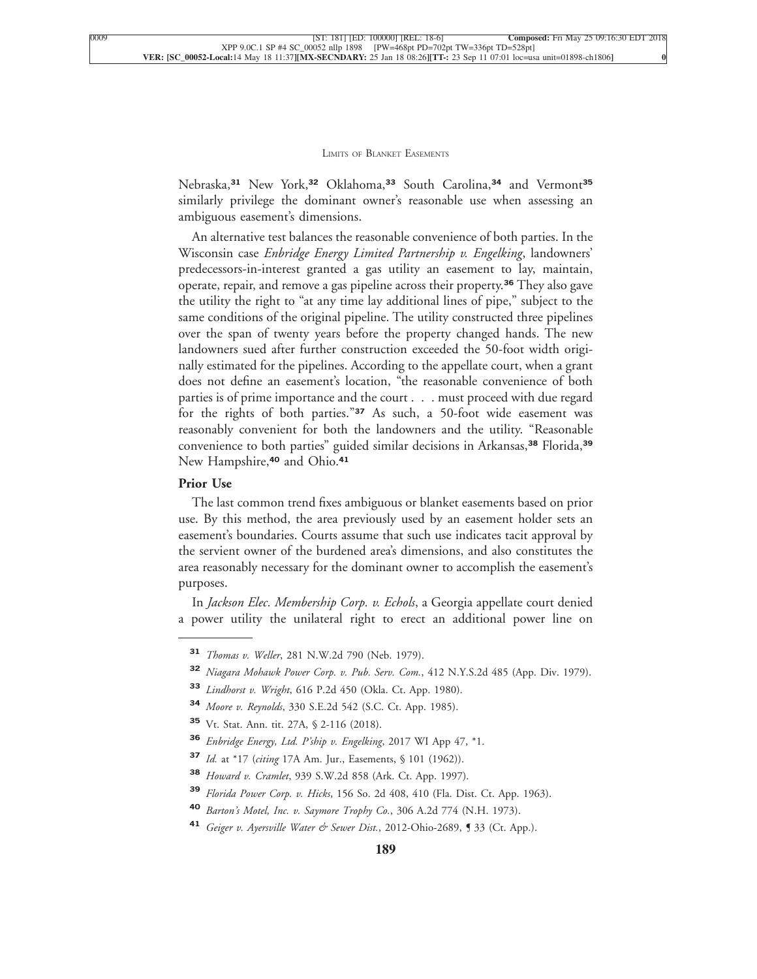Nebraska,**<sup>31</sup>** New York,**<sup>32</sup>** Oklahoma,**<sup>33</sup>** South Carolina,**<sup>34</sup>** and Vermont**<sup>35</sup>** similarly privilege the dominant owner's reasonable use when assessing an [ambiguous easement's dimensions.](xpath-> core:para,  Default,  para-list,  style_01)

[An alternative test balances the reasonable convenience of both parties. In the](xpath-> core:para,  Default,  para-list,  style_01) Wisconsin case *[Enbridge Energy Limited Partnership v. Engelking](xpath-> core:para,  Default,  para-list,  style_01)*, landowners' [predecessors-in-interest granted a gas utility an easement to lay, maintain,](xpath-> core:para,  Default,  para-list,  style_01) [operate, repair, and remove a gas pipeline across their property.](xpath-> core:para,  Default,  para-list,  style_01)**<sup>36</sup>** They also gave [the utility the right to "at any time lay additional lines of pipe," subject to the](xpath-> core:para,  Default,  para-list,  style_01) [same conditions of the original pipeline. The utility constructed three pipelines](xpath-> core:para,  Default,  para-list,  style_01) [over the span of twenty years before the property changed hands. The new](xpath-> core:para,  Default,  para-list,  style_01) [landowners sued after further construction exceeded the 50-foot width origi](xpath-> core:para,  Default,  para-list,  style_01)[nally estimated for the pipelines. According to the appellate court, when a grant](xpath-> core:para,  Default,  para-list,  style_01) [does not define an easement's location, "the reasonable convenience of both](xpath-> core:para,  Default,  para-list,  style_01) [parties is of prime importance and the court . . . must proceed with due regard](xpath-> core:para,  Default,  para-list,  style_01) for the rights of both parties."**<sup>37</sup>** [As such, a 50-foot wide easement was](xpath-> core:para,  Default,  para-list,  style_01) [reasonably convenient for both the landowners and the utility. "Reasonable](xpath-> core:para,  Default,  para-list,  style_01) [convenience to both parties" guided similar decisions in Arkansas,](xpath-> core:para,  Default,  para-list,  style_01)**<sup>38</sup>** Florida,**<sup>39</sup>** [New Hampshire,](xpath-> core:para,  Default,  para-list,  style_01)**<sup>40</sup>** and Ohio.**<sup>41</sup>**

#### **[Prior Use](xpath-> core:generic-hd,  Default,  core_generic_hd,  style_01)**

[The last common trend fixes ambiguous or blanket easements based on prior](xpath-> core:para,  Default,  para-list,  style_01) [use. By this method, the area previously used by an easement holder sets an](xpath-> core:para,  Default,  para-list,  style_01) [easement's boundaries. Courts assume that such use indicates tacit approval by](xpath-> core:para,  Default,  para-list,  style_01) [the servient owner of the burdened area's dimensions, and also constitutes the](xpath-> core:para,  Default,  para-list,  style_01) [area reasonably necessary for the dominant owner to accomplish the easement's](xpath-> core:para,  Default,  para-list,  style_01) [purposes.](xpath-> core:para,  Default,  para-list,  style_01)

In *[Jackson Elec. Membership Corp. v. Echols](xpath-> core:para,  Default,  para-list,  style_01)*, a Georgia appellate court denied [a power utility the unilateral right to erect an additional power line on](xpath-> core:para,  Default,  para-list,  style_01)

- **<sup>33</sup>** *Lindhorst v. Wright*[, 616 P.2d 450 \(Okla. Ct. App. 1980\).](xpath-> fn:para,  fn:footnote/fn:para,  footnote,  style_03)
- **<sup>34</sup>** *Moore v. Reynolds*[, 330 S.E.2d 542 \(S.C. Ct. App. 1985\).](xpath-> fn:para,  fn:footnote/fn:para,  footnote,  style_03)

- **<sup>36</sup>** *[Enbridge Energy, Ltd. P'ship v. Engelking](xpath-> fn:para,  fn:footnote/fn:para,  footnote,  style_03)*, 2017 WI App 47, \*1.
- **<sup>37</sup>** *Id.* at \*17 (*citing* [17A Am. Jur., Easements, § 101 \(1962\)\).](xpath-> fn:para,  fn:footnote/fn:para,  footnote,  style_03)
- **<sup>38</sup>** *Howard v. Cramlet*[, 939 S.W.2d 858 \(Ark. Ct. App. 1997\).](xpath-> fn:para,  fn:footnote/fn:para,  footnote,  style_03)
- **<sup>39</sup>** *Florida Power Corp. v. Hicks*[, 156 So. 2d 408, 410 \(Fla. Dist. Ct. App. 1963\).](xpath-> fn:para,  fn:footnote/fn:para,  footnote,  style_03)
- **<sup>40</sup>** *[Barton's Motel, Inc. v. Saymore Trophy Co.](xpath-> fn:para,  fn:footnote/fn:para,  footnote,  style_03)*, 306 A.2d 774 (N.H. 1973).
- **<sup>41</sup>** *[Geiger v. Ayersville Water & Sewer Dist.](xpath-> fn:para,  fn:footnote/fn:para,  footnote,  style_03)*, 2012-Ohio-2689, ¶ 33 (Ct. App.).

**<sup>31</sup>** *Thomas v. Weller*[, 281 N.W.2d 790 \(Neb. 1979\).](xpath-> fn:para,  fn:footnote/fn:para,  footnote,  style_03)

**<sup>32</sup>** *[Niagara Mohawk Power Corp. v. Pub. Serv. Com.](xpath-> fn:para,  fn:footnote/fn:para,  footnote,  style_03)*, 412 N.Y.S.2d 485 (App. Div. 1979).

**<sup>35</sup>** [Vt. Stat. Ann. tit. 27A, § 2-116 \(2018\).](xpath-> fn:para,  fn:footnote/fn:para,  footnote,  style_03)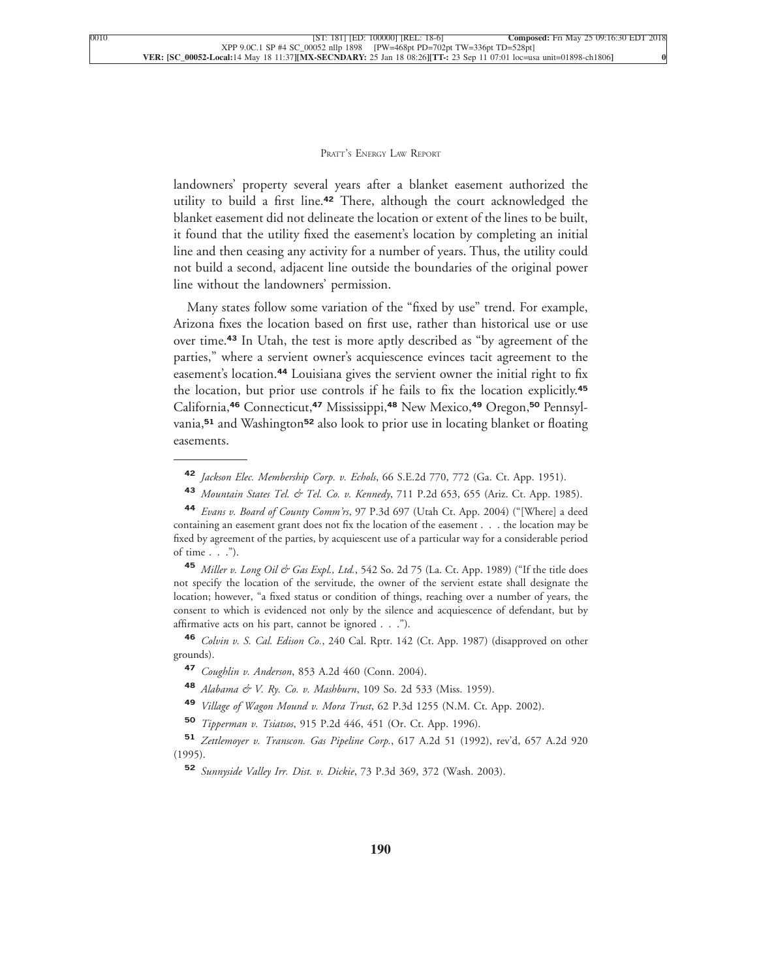landowners' property several years after a blanket easement authorized the utility to build a first line.**<sup>42</sup>** There, although the court acknowledged the blanket easement did not delineate the location or extent of the lines to be built, it found that the utility fixed the easement's location by completing an initial line and then ceasing any activity for a number of years. Thus, the utility could not build a second, adjacent line outside the boundaries of the original power [line without the landowners' permission.](xpath-> core:para,  Default,  para-list,  style_01)

[Many states follow some variation of the "fixed by use" trend. For example,](xpath-> core:para,  Default,  para-list,  style_01) [Arizona fixes the location based on first use, rather than historical use or use](xpath-> core:para,  Default,  para-list,  style_01) over time.**<sup>43</sup>** [In Utah, the test is more aptly described as "by agreement of the](xpath-> core:para,  Default,  para-list,  style_01) [parties," where a servient owner's acquiescence evinces tacit agreement to the](xpath-> core:para,  Default,  para-list,  style_01) easement's location.**<sup>44</sup>** [Louisiana gives the servient owner the initial right to fix](xpath-> core:para,  Default,  para-list,  style_01) [the location, but prior use controls if he fails to fix the location explicitly.](xpath-> core:para,  Default,  para-list,  style_01)**<sup>45</sup>** California,**<sup>46</sup>** Connecticut,**<sup>47</sup>** Mississippi,**<sup>48</sup>** [New Mexico,](xpath-> core:para,  Default,  para-list,  style_01)**<sup>49</sup>** Oregon,**<sup>50</sup>** Pennsylvania,**<sup>51</sup>** and Washington**<sup>52</sup>** [also look to prior use in locating blanket or floating](xpath-> core:para,  Default,  para-list,  style_01) [easements.](xpath-> core:para,  Default,  para-list,  style_01)

**<sup>42</sup>** *Jackson Elec. Membership Corp. v. Echols*[, 66 S.E.2d 770, 772 \(Ga. Ct. App. 1951\).](xpath-> fn:para,  fn:footnote/fn:para,  footnote,  style_03)

**<sup>43</sup>** *Mountain States Tel. & Tel. Co. v. Kennedy*[, 711 P.2d 653, 655 \(Ariz. Ct. App. 1985\).](xpath-> fn:para,  fn:footnote/fn:para,  footnote,  style_03)

**<sup>44</sup>** *Evans v. Board of County Comm'rs*[, 97 P.3d 697 \(Utah Ct. App. 2004\) \("\[Where\] a deed](xpath-> fn:para,  fn:footnote/fn:para,  footnote,  style_03) [containing an easement grant does not fix the location of the easement . . . the location may be](xpath-> fn:para,  fn:footnote/fn:para,  footnote,  style_03) [fixed by agreement of the parties, by acquiescent use of a particular way for a considerable period](xpath-> fn:para,  fn:footnote/fn:para,  footnote,  style_03) [of time . . ."\).](xpath-> fn:para,  fn:footnote/fn:para,  footnote,  style_03)

45 *Miller v. Long Oil & Gas Expl., Ltd.*[, 542 So. 2d 75 \(La. Ct. App. 1989\) \("If the title does](xpath-> fn:para,  fn:footnote/fn:para,  footnote,  style_03) [not specify the location of the servitude, the owner of the servient estate shall designate the](xpath-> fn:para,  fn:footnote/fn:para,  footnote,  style_03) [location; however, "a fixed status or condition of things, reaching over a number of years, the](xpath-> fn:para,  fn:footnote/fn:para,  footnote,  style_03) [consent to which is evidenced not only by the silence and acquiescence of defendant, but by](xpath-> fn:para,  fn:footnote/fn:para,  footnote,  style_03) [affirmative acts on his part, cannot be ignored . . ."\).](xpath-> fn:para,  fn:footnote/fn:para,  footnote,  style_03)

**<sup>46</sup>** *Colvin v. S. Cal. Edison Co.*[, 240 Cal. Rptr. 142 \(Ct. App. 1987\) \(disapproved on other](xpath-> fn:para,  fn:footnote/fn:para,  footnote,  style_03) [grounds\).](xpath-> fn:para,  fn:footnote/fn:para,  footnote,  style_03)

- **<sup>47</sup>** *Coughlin v. Anderson*[, 853 A.2d 460 \(Conn. 2004\).](xpath-> fn:para,  fn:footnote/fn:para,  footnote,  style_03)
- **<sup>48</sup>** *[Alabama & V. Ry. Co. v. Mashburn](xpath-> fn:para,  fn:footnote/fn:para,  footnote,  style_03)*, 109 So. 2d 533 (Miss. 1959).
- **<sup>49</sup>** *Village of Wagon Mound v. Mora Trust*[, 62 P.3d 1255 \(N.M. Ct. App. 2002\).](xpath-> fn:para,  fn:footnote/fn:para,  footnote,  style_03)
- **<sup>50</sup>** *Tipperman v. Tsiatsos*[, 915 P.2d 446, 451 \(Or. Ct. App. 1996\).](xpath-> fn:para,  fn:footnote/fn:para,  footnote,  style_03)

**<sup>51</sup>** *Zettlemoyer v. Transcon. Gas Pipeline Corp.*[, 617 A.2d 51 \(1992\), rev'd, 657 A.2d 920](xpath-> fn:para,  fn:footnote/fn:para,  footnote,  style_03) [\(1995\).](xpath-> fn:para,  fn:footnote/fn:para,  footnote,  style_03)

**<sup>52</sup>** *[Sunnyside Valley Irr. Dist. v. Dickie](xpath-> fn:para,  fn:footnote/fn:para,  footnote,  style_03)*, 73 P.3d 369, 372 (Wash. 2003).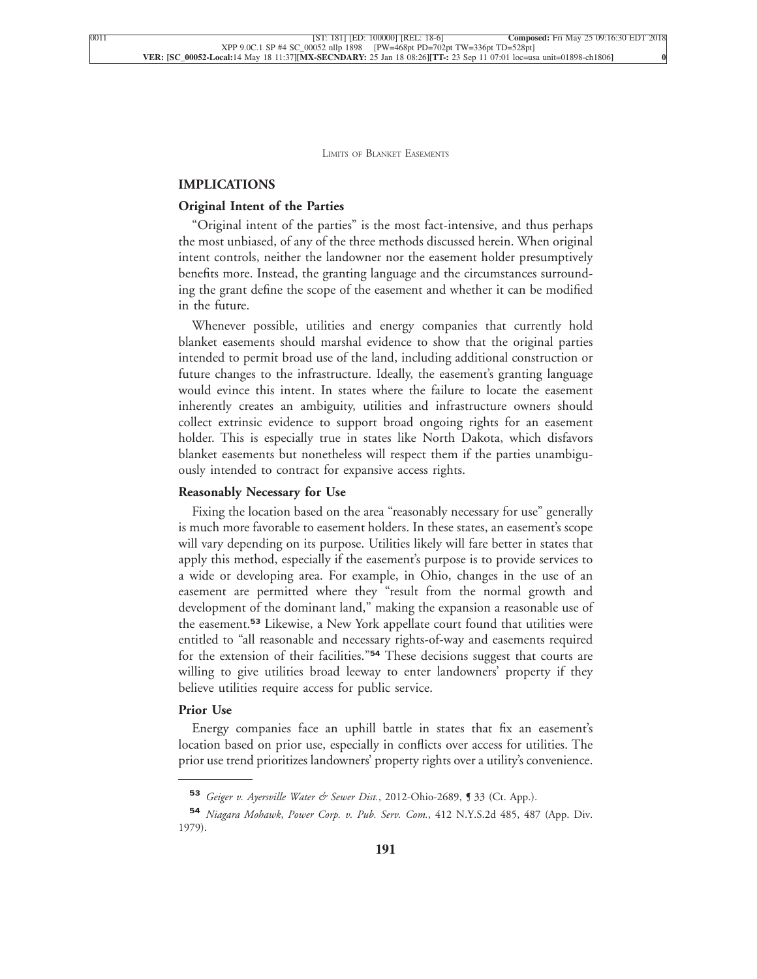#### **[IMPLICATIONS](xpath-> core:generic-hd,  Default,  core_generic_hd,  style_01)**

#### **[Original Intent of the Parties](xpath-> core:generic-hd,  Default,  core_generic_hd,  style_01)**

["Original intent of the parties" is the most fact-intensive, and thus perhaps](xpath-> core:para,  Default,  para-list,  style_01) [the most unbiased, of any of the three methods discussed herein. When original](xpath-> core:para,  Default,  para-list,  style_01) [intent controls, neither the landowner nor the easement holder presumptively](xpath-> core:para,  Default,  para-list,  style_01) [benefits more. Instead, the granting language and the circumstances surround](xpath-> core:para,  Default,  para-list,  style_01)[ing the grant define the scope of the easement and whether it can be modified](xpath-> core:para,  Default,  para-list,  style_01) [in the future.](xpath-> core:para,  Default,  para-list,  style_01)

[Whenever possible, utilities and energy companies that currently hold](xpath-> core:para,  Default,  para-list,  style_01) [blanket easements should marshal evidence to show that the original parties](xpath-> core:para,  Default,  para-list,  style_01) [intended to permit broad use of the land, including additional construction or](xpath-> core:para,  Default,  para-list,  style_01) [future changes to the infrastructure. Ideally, the easement's granting language](xpath-> core:para,  Default,  para-list,  style_01) [would evince this intent. In states where the failure to locate the easement](xpath-> core:para,  Default,  para-list,  style_01) [inherently creates an ambiguity, utilities and infrastructure owners should](xpath-> core:para,  Default,  para-list,  style_01) [collect extrinsic evidence to support broad ongoing rights for an easement](xpath-> core:para,  Default,  para-list,  style_01) [holder. This is especially true in states like North Dakota, which disfavors](xpath-> core:para,  Default,  para-list,  style_01) [blanket easements but nonetheless will respect them if the parties unambigu](xpath-> core:para,  Default,  para-list,  style_01)[ously intended to contract for expansive access rights.](xpath-> core:para,  Default,  para-list,  style_01)

#### **[Reasonably Necessary for Use](xpath-> core:generic-hd,  Default,  core_generic_hd,  style_01)**

[Fixing the location based on the area "reasonably necessary for use" generally](xpath-> core:para,  Default,  para-list,  style_01) [is much more favorable to easement holders. In these states, an easement's scope](xpath-> core:para,  Default,  para-list,  style_01) [will vary depending on its purpose. Utilities likely will fare better in states that](xpath-> core:para,  Default,  para-list,  style_01) [apply this method, especially if the easement's purpose is to provide services to](xpath-> core:para,  Default,  para-list,  style_01) [a wide or developing area. For example, in Ohio, changes in the use of an](xpath-> core:para,  Default,  para-list,  style_01) [easement are permitted where they "result from the normal growth and](xpath-> core:para,  Default,  para-list,  style_01) [development of the dominant land," making the expansion a reasonable use of](xpath-> core:para,  Default,  para-list,  style_01) the easement.**<sup>53</sup>** [Likewise, a New York appellate court found that utilities were](xpath-> core:para,  Default,  para-list,  style_01) [entitled to "all reasonable and necessary rights-of-way and easements required](xpath-> core:para,  Default,  para-list,  style_01) for the extension of their facilities."**<sup>54</sup>** [These decisions suggest that courts are](xpath-> core:para,  Default,  para-list,  style_01) [willing to give utilities broad leeway to enter landowners' property if they](xpath-> core:para,  Default,  para-list,  style_01) [believe utilities require access for public service.](xpath-> core:para,  Default,  para-list,  style_01)

#### **[Prior Use](xpath-> core:generic-hd,  Default,  core_generic_hd,  style_01)**

[Energy companies face an uphill battle in states that fix an easement's](xpath-> core:para,  Default,  para-list,  style_01) [location based on prior use, especially in conflicts over access for utilities. The](xpath-> core:para,  Default,  para-list,  style_01) [prior use trend prioritizes landowners' property rights over a utility's convenience.](xpath-> core:para,  Default,  para-list,  style_01)

**<sup>53</sup>** *[Geiger v. Ayersville Water & Sewer Dist.](xpath-> fn:para,  fn:footnote/fn:para,  footnote,  style_03)*, 2012-Ohio-2689, ¶ 33 (Ct. App.).

**<sup>54</sup>** *Niagara Mohawk*, *Power Corp. v. Pub. Serv. Com.*[, 412 N.Y.S.2d 485, 487 \(App. Div.](xpath-> fn:para,  fn:footnote/fn:para,  footnote,  style_03) [1979\).](xpath-> fn:para,  fn:footnote/fn:para,  footnote,  style_03)